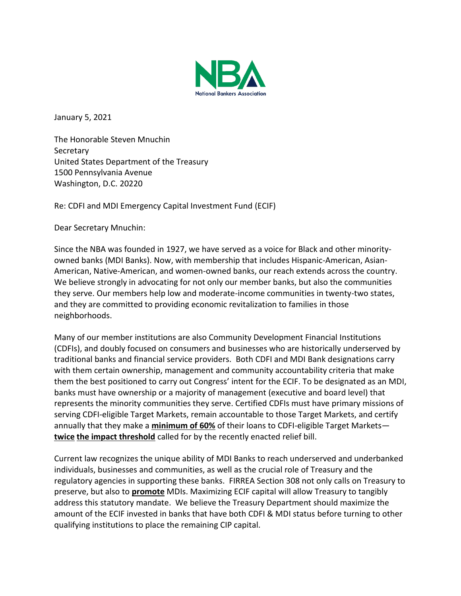

January 5, 2021

The Honorable Steven Mnuchin **Secretary** United States Department of the Treasury 1500 Pennsylvania Avenue Washington, D.C. 20220

Re: CDFI and MDI Emergency Capital Investment Fund (ECIF)

Dear Secretary Mnuchin:

Since the NBA was founded in 1927, we have served as a voice for Black and other minorityowned banks (MDI Banks). Now, with membership that includes Hispanic-American, Asian-American, Native-American, and women-owned banks, our reach extends across the country. We believe strongly in advocating for not only our member banks, but also the communities they serve. Our members help low and moderate-income communities in twenty-two states, and they are committed to providing economic revitalization to families in those neighborhoods.

Many of our member institutions are also Community Development Financial Institutions (CDFIs), and doubly focused on consumers and businesses who are historically underserved by traditional banks and financial service providers. Both CDFI and MDI Bank designations carry with them certain ownership, management and community accountability criteria that make them the best positioned to carry out Congress' intent for the ECIF. To be designated as an MDI, banks must have ownership or a majority of management (executive and board level) that represents the minority communities they serve. Certified CDFIs must have primary missions of serving CDFI-eligible Target Markets, remain accountable to those Target Markets, and certify annually that they make a **minimum of 60%** of their loans to CDFI-eligible Target Markets **twice the impact threshold** called for by the recently enacted relief bill.

Current law recognizes the unique ability of MDI Banks to reach underserved and underbanked individuals, businesses and communities, as well as the crucial role of Treasury and the regulatory agencies in supporting these banks. FIRREA Section 308 not only calls on Treasury to preserve, but also to **promote** MDIs. Maximizing ECIF capital will allow Treasury to tangibly address this statutory mandate. We believe the Treasury Department should maximize the amount of the ECIF invested in banks that have both CDFI & MDI status before turning to other qualifying institutions to place the remaining CIP capital.